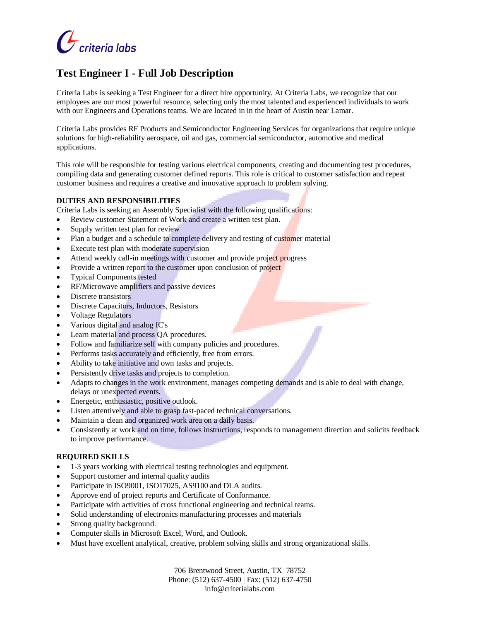

# **Test Engineer I - Full Job Description**

Criteria Labs is seeking a Test Engineer for a direct hire opportunity. At Criteria Labs, we recognize that our employees are our most powerful resource, selecting only the most talented and experienced individuals to work with our Engineers and Operations teams. We are located in in the heart of Austin near Lamar.

Criteria Labs provides RF Products and Semiconductor Engineering Services for organizations that require unique solutions for high-reliability aerospace, oil and gas, commercial semiconductor, automotive and medical applications.

This role will be responsible for testing various electrical components, creating and documenting test procedures, compiling data and generating customer defined reports. This role is critical to customer satisfaction and repeat customer business and requires a creative and innovative approach to problem solving.

# **DUTIES AND RESPONSIBILITIES**

Criteria Labs is seeking an Assembly Specialist with the following qualifications:

- Review customer Statement of Work and create a written test plan.
- Supply written test plan for review
- Plan a budget and a schedule to complete delivery and testing of customer material
- Execute test plan with moderate supervision
- Attend weekly call-in meetings with customer and provide project progress
- Provide a written report to the customer upon conclusion of project
- Typical Components tested
- RF/Microwave amplifiers and passive devices
- Discrete transistors
- Discrete Capacitors, Inductors, Resistors
- Voltage Regulators
- Various digital and analog IC's
- Learn material and process QA procedures.
- Follow and familiarize self with company policies and procedures.
- Performs tasks accurately and efficiently, free from errors.
- Ability to take initiative and own tasks and projects.
- Persistently drive tasks and projects to completion.
- Adapts to changes in the work environment, manages competing demands and is able to deal with change, delays or unexpected events.
- Energetic, enthusiastic, positive outlook.
- Listen attentively and able to grasp fast-paced technical conversations.
- Maintain a clean and organized work area on a daily basis.
- Consistently at work and on time, follows instructions, responds to management direction and solicits feedback to improve performance.

# **REQUIRED SKILLS**

- 1-3 years working with electrical testing technologies and equipment.
- Support customer and internal quality audits
- Participate in ISO9001, ISO17025, AS9100 and DLA audits.
- Approve end of project reports and Certificate of Conformance.
- Participate with activities of cross functional engineering and technical teams.
- Solid understanding of electronics manufacturing processes and materials
- Strong quality background.
- Computer skills in Microsoft Excel, Word, and Outlook.
- Must have excellent analytical, creative, problem solving skills and strong organizational skills.

706 Brentwood Street, Austin, TX 78752 Phone: (512) 637-4500 | Fax: (512) 637-4750 info@criterialabs.com